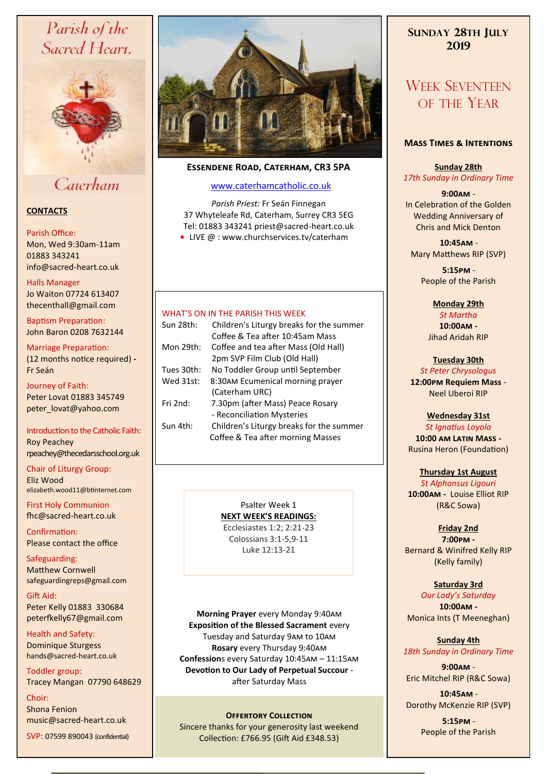# Parish of the Sacred Heart,



# Caterham

## **CONTACTS**

#### Parish Office:

Mon, Wed 9:30am-11am 01883 343241 info@sacred-heart.co.uk .

#### Halls Manager

Jo Waiton 07724 613407 thecenthall@gmail.com

Baptism Preparation: John Baron 0208 7632144

## Marriage Preparation:

(12 months notice required) **-** Fr Seán

Journey of Faith: Peter Lovat 01883 345749 peter\_lovat@yahoo.com

## Introduction to the Catholic Faith: Roy Peachey rpeachey@thecedarsschool.org.uk

Chair of Liturgy Group: Eliz Wood elizabeth.wood11@btinternet.com

First Holy Communion fhc@sacred-heart.co.uk

Confirmation: Please contact the office

Safeguarding: Matthew Cornwell safeguardingreps@gmail.com

Gift Aid: Peter Kelly 01883 330684 peterfkelly67@gmail.com

Health and Safety: Dominique Sturgess hands@sacred-heart.co.uk

Toddler group: Tracey Mangan 07790 648629

Choir: Shona Fenion music@sacred-heart.co.uk

SVP: 07599 890043 (confidential)



## **Essendene Road, Caterham, CR3 5PA**

## [www.caterhamcatholic.co.uk](http://Www.caterhamcatholic.co.uk)

*Parish Priest:* Fr Seán Finnegan 37 Whyteleafe Rd, Caterham, Surrey CR3 5EG Tel: 01883 343241 priest@sacred-heart.co.uk ● LIVE @ : www.churchservices.tv/caterham

## WHAT'S ON IN THE PARISH THIS WEEK.

| Sun 28th:  | Children's Liturgy breaks for the summer |
|------------|------------------------------------------|
|            | Coffee & Tea after 10:45am Mass          |
| Mon 29th:  | Coffee and tea after Mass (Old Hall)     |
|            | 2pm SVP Film Club (Old Hall)             |
| Tues 30th: | No Toddler Group until September         |
| Wed 31st:  | 8:30AM Ecumenical morning prayer         |
|            | (Caterham URC)                           |
| Fri 2nd:   | 7.30pm (after Mass) Peace Rosary         |
|            | - Reconciliation Mysteries               |
| Sun 4th:   | Children's Liturgy breaks for the summer |
|            | Coffee & Tea after morning Masses        |
|            |                                          |

Psalter Week 1 **NEXT WEEK'S READINGS:**  Ecclesiastes 1:2; 2:21-23 Colossians 3:1-5,9-11

Luke 12:13-21

**Morning Prayer** every Monday 9:40am **Exposition of the Blessed Sacrament** every Tuesday and Saturday 9am to 10am **Rosary** every Thursday 9:40am **Confession**s every Saturday 10:45am – 11:15am **Devotion to Our Lady of Perpetual Succour**  after Saturday Mass

## **OFFERTORY COLLECTION**

Sincere thanks for your generosity last weekend Collection: £766.95 (Gift Aid £348.53)

# **SUNDAY 28TH JULY 2019**

# WEEK SEVENTEEN OF THE YEAR

#### **Mass Times & Intentions**

**Sunday 28th** *17th Sunday in Ordinary Time*

### **9:00am** -

In Celebration of the Golden Wedding Anniversary of Chris and Mick Denton

.**10:45am** - Mary Matthews RIP (SVP)

> .**5:15pm** - People of the Parish

#### **Monday 29th**

*St Martha* **10:00am -**  Jihad Aridah RIP

# **Tuesday 30th**

*St Peter Chrysologus* **12:00pm Requiem Mass** - Neel Uberoi RIP

## **Wednesday 31st**

*St Ignatius Loyola* **10:00 am Latin Mass -** Rusina Heron (Foundation)

### **Thursday 1st August** *St Alphonsus Ligouri* **10:00am -** Louise Elliot RIP (R&C Sowa)

## **Friday 2nd**

**7:00pm -** Bernard & Winifred Kelly RIP (Kelly family)

## **Saturday 3rd**

*Our Lady's Saturday* **10:00am -**  Monica Ints (T Meeneghan)

### **Sunday 4th** *18th Sunday in Ordinary Time*

**9:00am** - Eric Mitchel RIP (R&C Sowa)

.**10:45am** - Dorothy McKenzie RIP (SVP)

> .**5:15pm** - People of the Parish